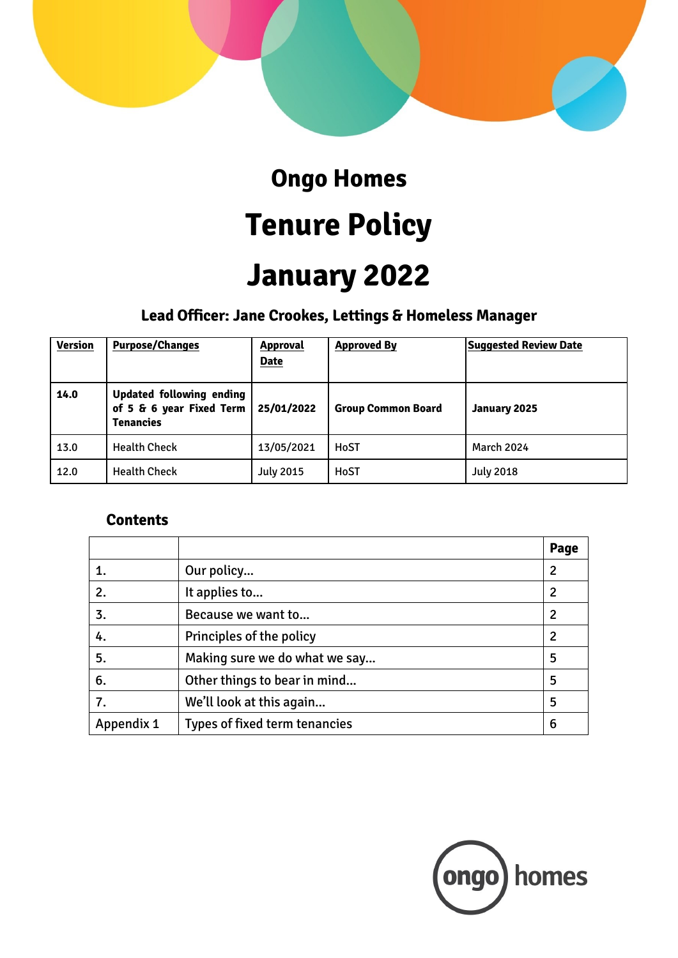

### **Ongo Homes**

# **Tenure Policy**

## **January 2022**

### **Lead Officer: Jane Crookes, Lettings & Homeless Manager**

| <b>Version</b> | <b>Purpose/Changes</b>                                                   | <b>Approval</b><br><b>Date</b> | <b>Approved By</b>        | <b>Suggested Review Date</b> |
|----------------|--------------------------------------------------------------------------|--------------------------------|---------------------------|------------------------------|
| 14.0           | Updated following ending<br>of 5 & 6 year Fixed Term<br><b>Tenancies</b> | 25/01/2022                     | <b>Group Common Board</b> | January 2025                 |
| 13.0           | <b>Health Check</b>                                                      | 13/05/2021                     | HoST                      | <b>March 2024</b>            |
| 12.0           | <b>Health Check</b>                                                      | <b>July 2015</b>               | HoST                      | <b>July 2018</b>             |

#### **Contents**

|            |                               | Page |
|------------|-------------------------------|------|
|            | Our policy                    | 2    |
| 2.         | It applies to                 | 2    |
| 3.         | Because we want to            | 2    |
| 4.         | Principles of the policy      | 2    |
| 5.         | Making sure we do what we say | 5    |
| 6.         | Other things to bear in mind  | 5    |
| 7.         | We'll look at this again      | 5    |
| Appendix 1 | Types of fixed term tenancies | 6    |

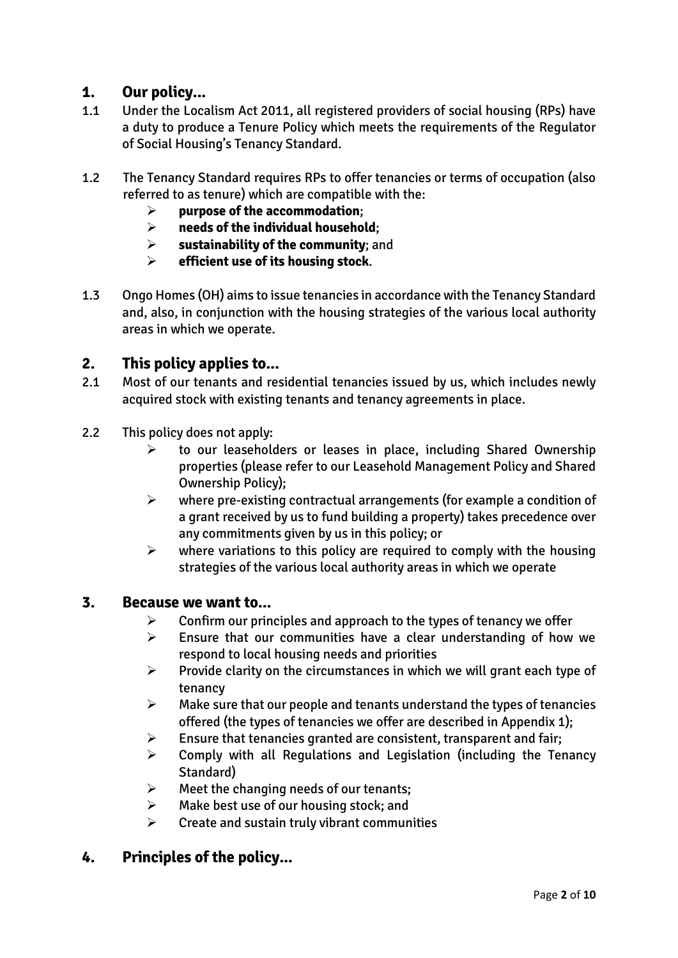#### **1. Our policy...**

- 1.1 Under the Localism Act 2011, all registered providers of social housing (RPs) have a duty to produce a Tenure Policy which meets the requirements of the Regulator of Social Housing's Tenancy Standard.
- 1.2 The Tenancy Standard requires RPs to offer tenancies or terms of occupation (also referred to as tenure) which are compatible with the:
	- **purpose of the accommodation**;
	- **needs of the individual household**;
	- **sustainability of the community**; and
	- **efficient use of its housing stock**.
- 1.3 Ongo Homes (OH) aims to issue tenancies in accordance with the Tenancy Standard and, also, in conjunction with the housing strategies of the various local authority areas in which we operate.

#### **2. This policy applies to...**

- 2.1 Most of our tenants and residential tenancies issued by us, which includes newly acquired stock with existing tenants and tenancy agreements in place.
- 2.2 This policy does not apply:
	- $\triangleright$  to our leaseholders or leases in place, including Shared Ownership properties (please refer to our Leasehold Management Policy and Shared Ownership Policy);
	- $\triangleright$  where pre-existing contractual arrangements (for example a condition of a grant received by us to fund building a property) takes precedence over any commitments given by us in this policy; or
	- $\triangleright$  where variations to this policy are required to comply with the housing strategies of the various local authority areas in which we operate

#### **3. Because we want to...**

- $\triangleright$  Confirm our principles and approach to the types of tenancy we offer
- $\triangleright$  Ensure that our communities have a clear understanding of how we respond to local housing needs and priorities
- $\triangleright$  Provide clarity on the circumstances in which we will grant each type of tenancy
- $\triangleright$  Make sure that our people and tenants understand the types of tenancies offered (the types of tenancies we offer are described in Appendix 1);
- $\triangleright$  Ensure that tenancies granted are consistent, transparent and fair;
- $\triangleright$  Comply with all Regulations and Legislation (including the Tenancy Standard)
- $\triangleright$  Meet the changing needs of our tenants;
- $\triangleright$  Make best use of our housing stock; and
- $\triangleright$  Create and sustain truly vibrant communities

#### **4. Principles of the policy...**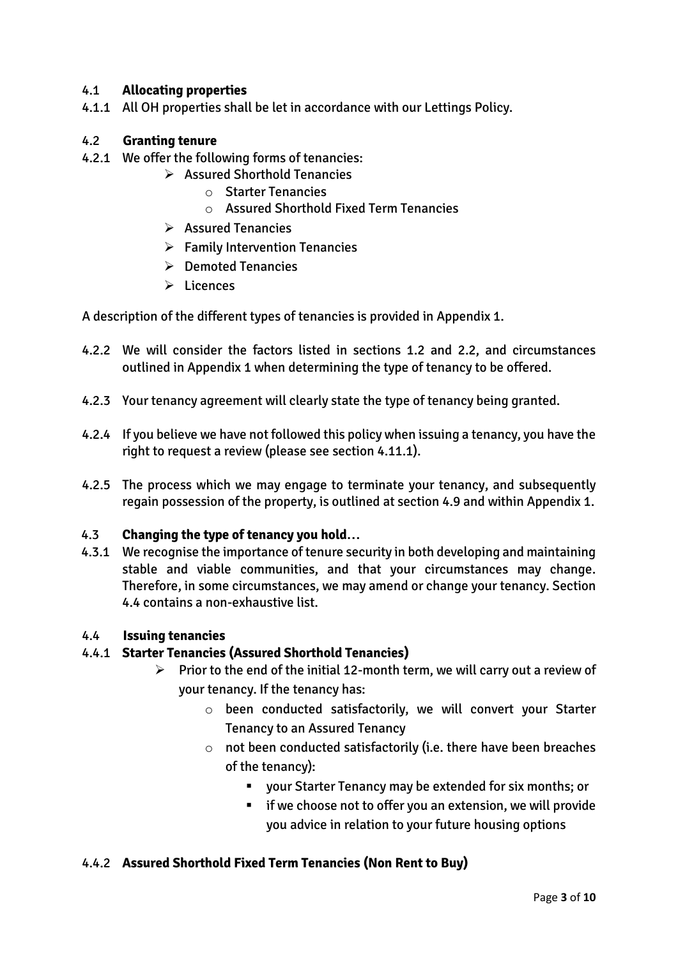#### 4.1 **Allocating properties**

4.1.1 All OH properties shall be let in accordance with our Lettings Policy.

#### 4.2 **Granting tenure**

- 4.2.1 We offer the following forms of tenancies:
	- $\triangleright$  Assured Shorthold Tenancies
		- o Starter Tenancies
		- o Assured Shorthold Fixed Term Tenancies
	- $\triangleright$  Assured Tenancies
	- $\triangleright$  Family Intervention Tenancies
	- $\triangleright$  Demoted Tenancies
	- $\triangleright$  Licences

A description of the different types of tenancies is provided in Appendix 1.

- 4.2.2 We will consider the factors listed in sections 1.2 and 2.2, and circumstances outlined in Appendix 1 when determining the type of tenancy to be offered.
- 4.2.3 Your tenancy agreement will clearly state the type of tenancy being granted.
- 4.2.4 If you believe we have not followed this policy when issuing a tenancy, you have the right to request a review (please see section 4.11.1).
- 4.2.5 The process which we may engage to terminate your tenancy, and subsequently regain possession of the property, is outlined at section 4.9 and within Appendix 1.

#### 4.3 **Changing the type of tenancy you hold…**

4.3.1 We recognise the importance of tenure security in both developing and maintaining stable and viable communities, and that your circumstances may change. Therefore, in some circumstances, we may amend or change your tenancy. Section 4.4 contains a non-exhaustive list.

#### 4.4 **Issuing tenancies**

#### 4.4.1 **Starter Tenancies (Assured Shorthold Tenancies)**

- $\triangleright$  Prior to the end of the initial 12-month term, we will carry out a review of your tenancy. If the tenancy has:
	- o been conducted satisfactorily, we will convert your Starter Tenancy to an Assured Tenancy
	- $\circ$  not been conducted satisfactorily (i.e. there have been breaches of the tenancy):
		- your Starter Tenancy may be extended for six months; or
		- **F** if we choose not to offer you an extension, we will provide you advice in relation to your future housing options

#### 4.4.2 **Assured Shorthold Fixed Term Tenancies (Non Rent to Buy)**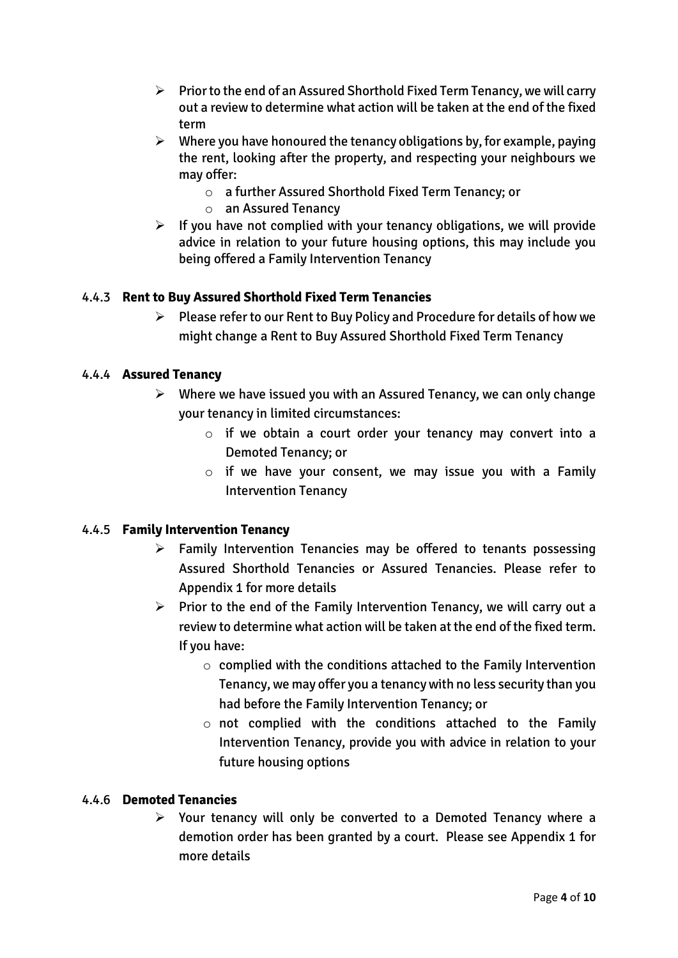- $\triangleright$  Prior to the end of an Assured Shorthold Fixed Term Tenancy, we will carry out a review to determine what action will be taken at the end of the fixed term
- $\triangleright$  Where you have honoured the tenancy obligations by, for example, paying the rent, looking after the property, and respecting your neighbours we may offer:
	- o a further Assured Shorthold Fixed Term Tenancy; or
	- o an Assured Tenancy
- $\triangleright$  If you have not complied with your tenancy obligations, we will provide advice in relation to your future housing options, this may include you being offered a Family Intervention Tenancy

#### 4.4.3 **Rent to Buy Assured Shorthold Fixed Term Tenancies**

 $\triangleright$  Please refer to our Rent to Buy Policy and Procedure for details of how we might change a Rent to Buy Assured Shorthold Fixed Term Tenancy

#### 4.4.4 **Assured Tenancy**

- $\triangleright$  Where we have issued you with an Assured Tenancy, we can only change your tenancy in limited circumstances:
	- o if we obtain a court order your tenancy may convert into a Demoted Tenancy; or
	- $\circ$  if we have your consent, we may issue you with a Family Intervention Tenancy

#### 4.4.5 **Family Intervention Tenancy**

- $\triangleright$  Family Intervention Tenancies may be offered to tenants possessing Assured Shorthold Tenancies or Assured Tenancies. Please refer to Appendix 1 for more details
- $\triangleright$  Prior to the end of the Family Intervention Tenancy, we will carry out a review to determine what action will be taken at the end of the fixed term. If you have:
	- $\circ$  complied with the conditions attached to the Family Intervention Tenancy, we may offer you a tenancy with no less security than you had before the Family Intervention Tenancy; or
	- $\circ$  not complied with the conditions attached to the Family Intervention Tenancy, provide you with advice in relation to your future housing options

#### 4.4.6 **Demoted Tenancies**

 $\triangleright$  Your tenancy will only be converted to a Demoted Tenancy where a demotion order has been granted by a court. Please see Appendix 1 for more details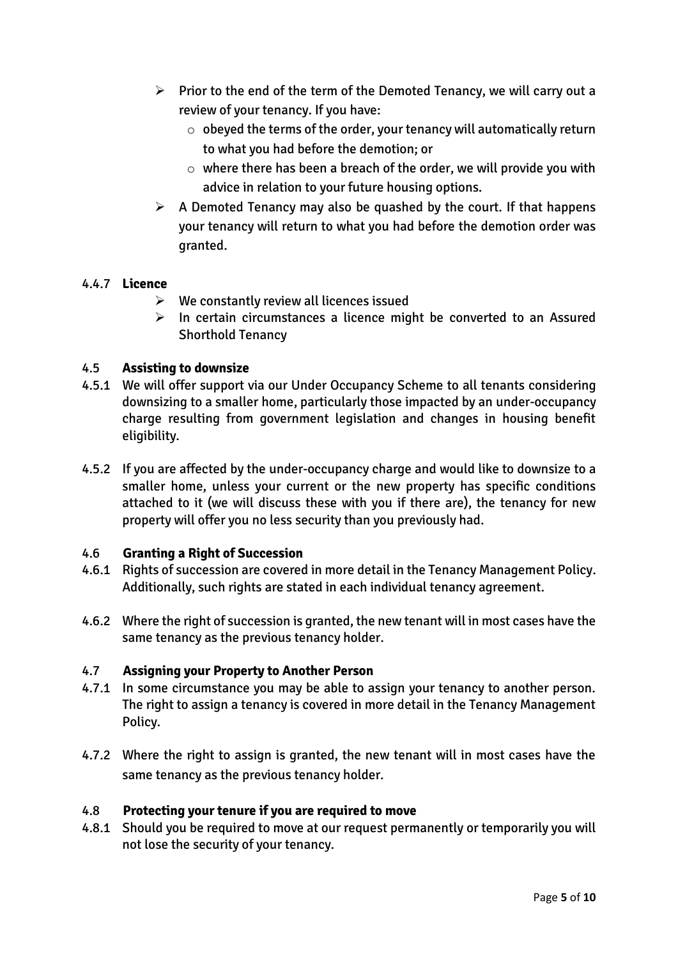- $\triangleright$  Prior to the end of the term of the Demoted Tenancy, we will carry out a review of your tenancy. If you have:
	- $\circ$  obeyed the terms of the order, your tenancy will automatically return to what you had before the demotion; or
	- $\circ$  where there has been a breach of the order, we will provide you with advice in relation to your future housing options.
- $\triangleright$  A Demoted Tenancy may also be quashed by the court. If that happens your tenancy will return to what you had before the demotion order was granted.

#### 4.4.7 **Licence**

- $\triangleright$  We constantly review all licences issued
- $\triangleright$  In certain circumstances a licence might be converted to an Assured Shorthold Tenancy

#### 4.5 **Assisting to downsize**

- 4.5.1 We will offer support via our Under Occupancy Scheme to all tenants considering downsizing to a smaller home, particularly those impacted by an under-occupancy charge resulting from government legislation and changes in housing benefit eligibility.
- 4.5.2 If you are affected by the under-occupancy charge and would like to downsize to a smaller home, unless your current or the new property has specific conditions attached to it (we will discuss these with you if there are), the tenancy for new property will offer you no less security than you previously had.

#### 4.6 **Granting a Right of Succession**

- 4.6.1 Rights of succession are covered in more detail in the Tenancy Management Policy. Additionally, such rights are stated in each individual tenancy agreement.
- 4.6.2 Where the right of succession is granted, the new tenant will in most cases have the same tenancy as the previous tenancy holder.

#### 4.7 **Assigning your Property to Another Person**

- 4.7.1 In some circumstance you may be able to assign your tenancy to another person. The right to assign a tenancy is covered in more detail in the Tenancy Management Policy.
- 4.7.2 Where the right to assign is granted, the new tenant will in most cases have the same tenancy as the previous tenancy holder.

#### 4.8 **Protecting your tenure if you are required to move**

4.8.1 Should you be required to move at our request permanently or temporarily you will not lose the security of your tenancy.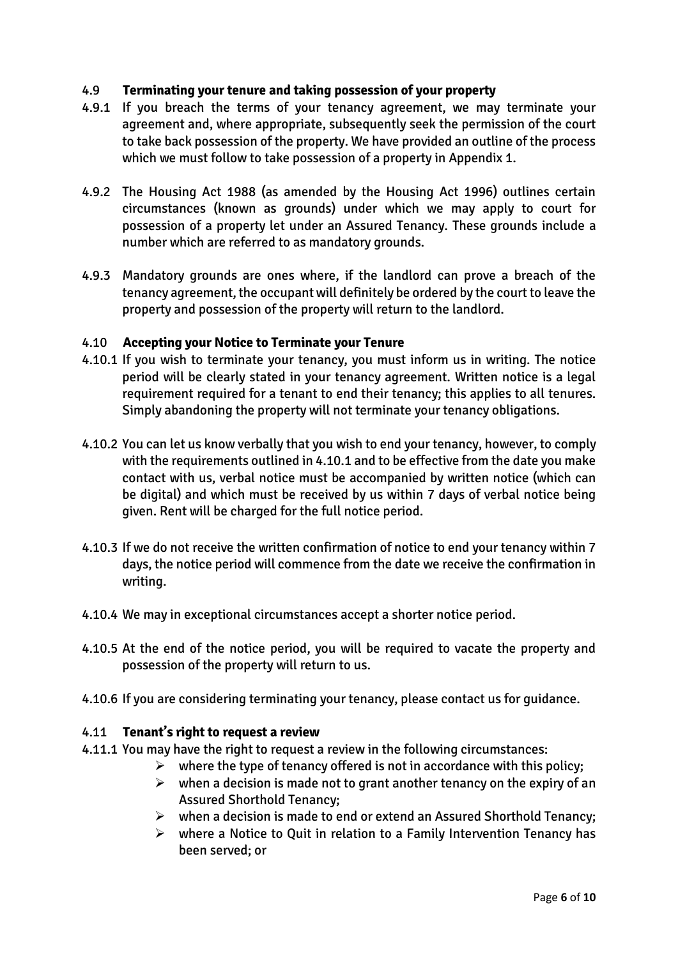#### 4.9 **Terminating your tenure and taking possession of your property**

- 4.9.1 If you breach the terms of your tenancy agreement, we may terminate your agreement and, where appropriate, subsequently seek the permission of the court to take back possession of the property. We have provided an outline of the process which we must follow to take possession of a property in Appendix 1.
- 4.9.2 The Housing Act 1988 (as amended by the Housing Act 1996) outlines certain circumstances (known as grounds) under which we may apply to court for possession of a property let under an Assured Tenancy. These grounds include a number which are referred to as mandatory grounds.
- 4.9.3 Mandatory grounds are ones where, if the landlord can prove a breach of the tenancy agreement, the occupant will definitely be ordered by the court to leave the property and possession of the property will return to the landlord.

#### 4.10 **Accepting your Notice to Terminate your Tenure**

- 4.10.1 If you wish to terminate your tenancy, you must inform us in writing. The notice period will be clearly stated in your tenancy agreement. Written notice is a legal requirement required for a tenant to end their tenancy; this applies to all tenures. Simply abandoning the property will not terminate your tenancy obligations.
- 4.10.2 You can let us know verbally that you wish to end your tenancy, however, to comply with the requirements outlined in 4.10.1 and to be effective from the date you make contact with us, verbal notice must be accompanied by written notice (which can be digital) and which must be received by us within 7 days of verbal notice being given. Rent will be charged for the full notice period.
- 4.10.3 If we do not receive the written confirmation of notice to end your tenancy within 7 days, the notice period will commence from the date we receive the confirmation in writing.
- 4.10.4 We may in exceptional circumstances accept a shorter notice period.
- 4.10.5 At the end of the notice period, you will be required to vacate the property and possession of the property will return to us.
- 4.10.6 If you are considering terminating your tenancy, please contact us for guidance.

#### 4.11 **Tenant's right to request a review**

- 4.11.1 You may have the right to request a review in the following circumstances:
	- $\triangleright$  where the type of tenancy offered is not in accordance with this policy;
	- $\triangleright$  when a decision is made not to grant another tenancy on the expiry of an Assured Shorthold Tenancy;
	- $\triangleright$  when a decision is made to end or extend an Assured Shorthold Tenancy;
	- $\triangleright$  where a Notice to Quit in relation to a Family Intervention Tenancy has been served; or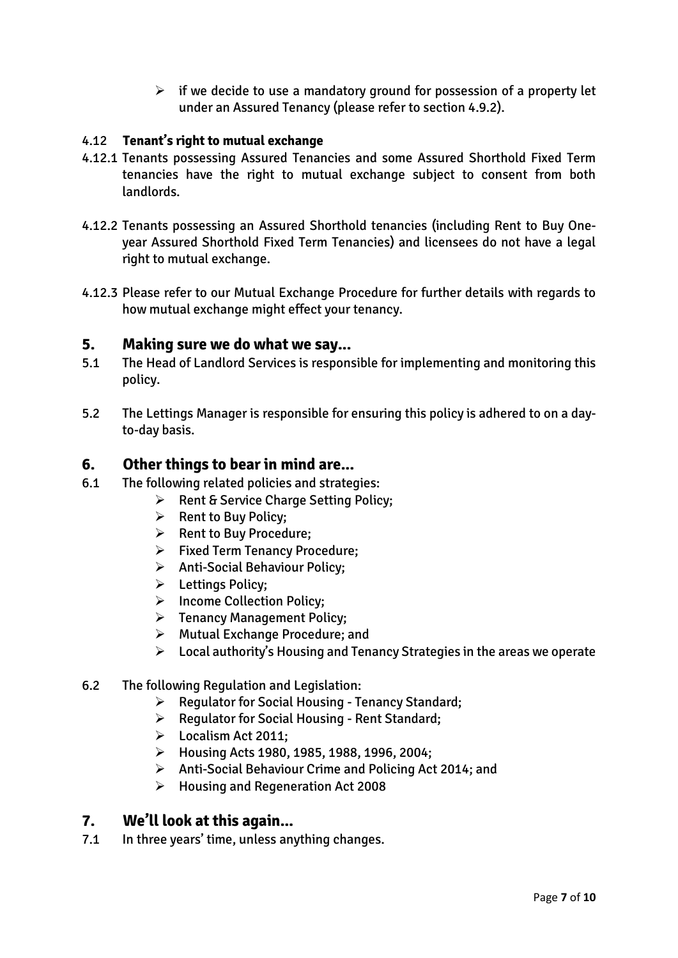$\triangleright$  if we decide to use a mandatory ground for possession of a property let under an Assured Tenancy (please refer to section 4.9.2).

#### 4.12 **Tenant's right to mutual exchange**

- 4.12.1 Tenants possessing Assured Tenancies and some Assured Shorthold Fixed Term tenancies have the right to mutual exchange subject to consent from both landlords.
- 4.12.2 Tenants possessing an Assured Shorthold tenancies (including Rent to Buy Oneyear Assured Shorthold Fixed Term Tenancies) and licensees do not have a legal right to mutual exchange.
- 4.12.3 Please refer to our Mutual Exchange Procedure for further details with regards to how mutual exchange might effect your tenancy.

#### **5. Making sure we do what we say...**

- 5.1 The Head of Landlord Services is responsible for implementing and monitoring this policy.
- 5.2 The Lettings Manager is responsible for ensuring this policy is adhered to on a dayto-day basis.

#### **6. Other things to bear in mind are...**

- 6.1 The following related policies and strategies:
	- $\triangleright$  Rent & Service Charge Setting Policy;
	- $\triangleright$  Rent to Buy Policy;
	- **EXECUTE:** Rent to Buy Procedure:
	- Fixed Term Tenancy Procedure;
	- > Anti-Social Behaviour Policy;
	- > Lettings Policy;
	- > Income Collection Policy;
	- **Fenancy Management Policy;**
	- Mutual Exchange Procedure; and
	- $\triangleright$  Local authority's Housing and Tenancy Strategies in the areas we operate
- 6.2 The following Regulation and Legislation:
	- $\triangleright$  [Regulator](https://www.gov.uk/government/uploads/system/uploads/attachment_data/file/419209/Tenancy_Standard_2015.pdf) for Social Housing Tenancy Standard;
	- $\triangleright$  [Regulator](http://www.homesandcommunities.co.uk/affordable-homes) for Social Housing Rent Standard;
	- Localism Act 2011;
	- $\blacktriangleright$  Housing Acts 1980, 1985, 1988, 1996, 2004;
	- Anti-Social Behaviour Crime and Policing Act 2014; and
	- Housing and Regeneration Act 2008

#### **7. We'll look at this again...**

7.1 In three years' time, unless anything changes.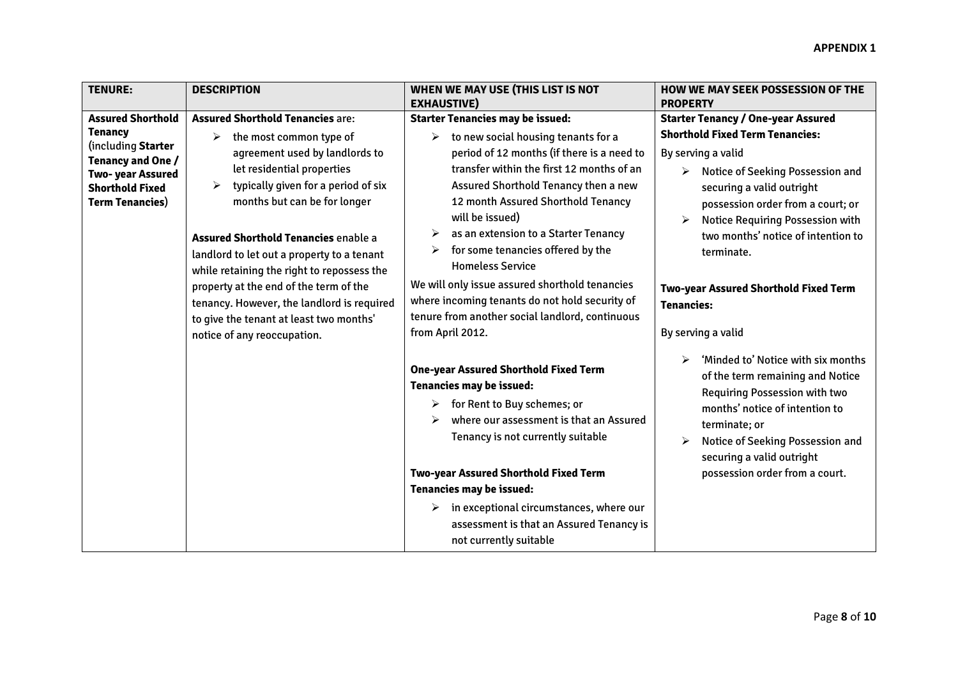| <b>TENURE:</b>                                                                                                   | <b>DESCRIPTION</b>                                                                                                                                                                                                                                                                                                                                                          | WHEN WE MAY USE (THIS LIST IS NOT                                                                                                                                                                                                                                                                                                                                                                         | <b>HOW WE MAY SEEK POSSESSION OF THE</b>                                                                                                                                                                                                                                                                |
|------------------------------------------------------------------------------------------------------------------|-----------------------------------------------------------------------------------------------------------------------------------------------------------------------------------------------------------------------------------------------------------------------------------------------------------------------------------------------------------------------------|-----------------------------------------------------------------------------------------------------------------------------------------------------------------------------------------------------------------------------------------------------------------------------------------------------------------------------------------------------------------------------------------------------------|---------------------------------------------------------------------------------------------------------------------------------------------------------------------------------------------------------------------------------------------------------------------------------------------------------|
|                                                                                                                  |                                                                                                                                                                                                                                                                                                                                                                             | <b>EXHAUSTIVE)</b>                                                                                                                                                                                                                                                                                                                                                                                        | <b>PROPERTY</b>                                                                                                                                                                                                                                                                                         |
| <b>Assured Shorthold</b>                                                                                         | <b>Assured Shorthold Tenancies are:</b>                                                                                                                                                                                                                                                                                                                                     | <b>Starter Tenancies may be issued:</b>                                                                                                                                                                                                                                                                                                                                                                   | <b>Starter Tenancy / One-year Assured</b>                                                                                                                                                                                                                                                               |
| <b>Tenancy</b>                                                                                                   | the most common type of<br>➤                                                                                                                                                                                                                                                                                                                                                | to new social housing tenants for a<br>➤                                                                                                                                                                                                                                                                                                                                                                  | <b>Shorthold Fixed Term Tenancies:</b>                                                                                                                                                                                                                                                                  |
| (including Starter<br>Tenancy and One /<br>Two- year Assured<br><b>Shorthold Fixed</b><br><b>Term Tenancies)</b> | agreement used by landlords to<br>let residential properties<br>typically given for a period of six<br>➤<br>months but can be for longer<br><b>Assured Shorthold Tenancies enable a</b><br>landlord to let out a property to a tenant<br>while retaining the right to repossess the<br>property at the end of the term of the<br>tenancy. However, the landlord is required | period of 12 months (if there is a need to<br>transfer within the first 12 months of an<br>Assured Shorthold Tenancy then a new<br>12 month Assured Shorthold Tenancy<br>will be issued)<br>as an extension to a Starter Tenancy<br>➤<br>for some tenancies offered by the<br><b>Homeless Service</b><br>We will only issue assured shorthold tenancies<br>where incoming tenants do not hold security of | By serving a valid<br>Notice of Seeking Possession and<br>$\blacktriangleright$<br>securing a valid outright<br>possession order from a court; or<br>Notice Requiring Possession with<br>two months' notice of intention to<br>terminate.<br>Two-year Assured Shorthold Fixed Term<br><b>Tenancies:</b> |
|                                                                                                                  | to give the tenant at least two months'                                                                                                                                                                                                                                                                                                                                     | tenure from another social landlord, continuous                                                                                                                                                                                                                                                                                                                                                           |                                                                                                                                                                                                                                                                                                         |
|                                                                                                                  | notice of any reoccupation.                                                                                                                                                                                                                                                                                                                                                 | from April 2012.                                                                                                                                                                                                                                                                                                                                                                                          | By serving a valid                                                                                                                                                                                                                                                                                      |
|                                                                                                                  |                                                                                                                                                                                                                                                                                                                                                                             | <b>One-year Assured Shorthold Fixed Term</b><br>Tenancies may be issued:<br>for Rent to Buy schemes; or<br>➤<br>where our assessment is that an Assured<br>➤<br>Tenancy is not currently suitable                                                                                                                                                                                                         | 'Minded to' Notice with six months<br>of the term remaining and Notice<br>Requiring Possession with two<br>months' notice of intention to<br>terminate; or<br>Notice of Seeking Possession and<br>➤<br>securing a valid outright                                                                        |
|                                                                                                                  |                                                                                                                                                                                                                                                                                                                                                                             | Two-year Assured Shorthold Fixed Term                                                                                                                                                                                                                                                                                                                                                                     | possession order from a court.                                                                                                                                                                                                                                                                          |
|                                                                                                                  |                                                                                                                                                                                                                                                                                                                                                                             | <b>Tenancies may be issued:</b>                                                                                                                                                                                                                                                                                                                                                                           |                                                                                                                                                                                                                                                                                                         |
|                                                                                                                  |                                                                                                                                                                                                                                                                                                                                                                             | in exceptional circumstances, where our<br>➤<br>assessment is that an Assured Tenancy is<br>not currently suitable                                                                                                                                                                                                                                                                                        |                                                                                                                                                                                                                                                                                                         |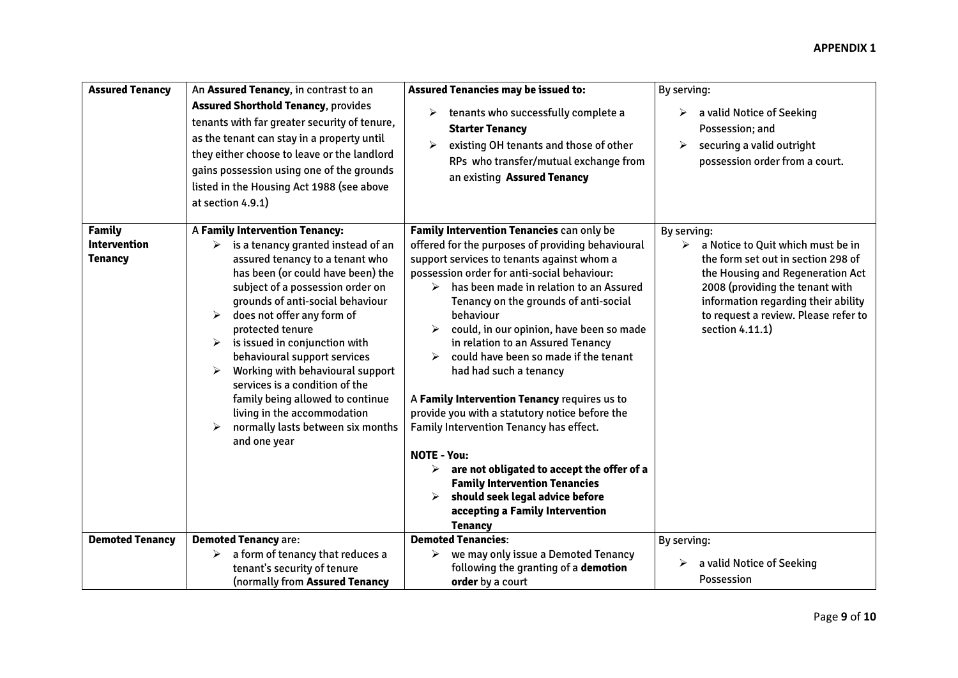#### **APPENDIX 1**

| <b>Assured Tenancy</b>                                 | An Assured Tenancy, in contrast to an<br><b>Assured Shorthold Tenancy, provides</b><br>tenants with far greater security of tenure,<br>as the tenant can stay in a property until<br>they either choose to leave or the landlord<br>gains possession using one of the grounds<br>listed in the Housing Act 1988 (see above                                                                                                                                                                                                                                                 | <b>Assured Tenancies may be issued to:</b><br>tenants who successfully complete a<br>$\blacktriangleright$<br><b>Starter Tenancy</b><br>existing OH tenants and those of other<br>➤<br>RPs who transfer/mutual exchange from<br>an existing Assured Tenancy                                                                                                                                                                                                                                                                                                                                                                                                                                                                                                                                                 | By serving:<br>a valid Notice of Seeking<br>⋗<br>Possession; and<br>securing a valid outright<br>➤<br>possession order from a court.                                                                                                                                 |
|--------------------------------------------------------|----------------------------------------------------------------------------------------------------------------------------------------------------------------------------------------------------------------------------------------------------------------------------------------------------------------------------------------------------------------------------------------------------------------------------------------------------------------------------------------------------------------------------------------------------------------------------|-------------------------------------------------------------------------------------------------------------------------------------------------------------------------------------------------------------------------------------------------------------------------------------------------------------------------------------------------------------------------------------------------------------------------------------------------------------------------------------------------------------------------------------------------------------------------------------------------------------------------------------------------------------------------------------------------------------------------------------------------------------------------------------------------------------|----------------------------------------------------------------------------------------------------------------------------------------------------------------------------------------------------------------------------------------------------------------------|
|                                                        | at section 4.9.1)                                                                                                                                                                                                                                                                                                                                                                                                                                                                                                                                                          |                                                                                                                                                                                                                                                                                                                                                                                                                                                                                                                                                                                                                                                                                                                                                                                                             |                                                                                                                                                                                                                                                                      |
| <b>Family</b><br><b>Intervention</b><br><b>Tenancy</b> | A Family Intervention Tenancy:<br>is a tenancy granted instead of an<br>➤<br>assured tenancy to a tenant who<br>has been (or could have been) the<br>subject of a possession order on<br>grounds of anti-social behaviour<br>does not offer any form of<br>➤<br>protected tenure<br>$\triangleright$ is issued in conjunction with<br>behavioural support services<br>Working with behavioural support<br>➤<br>services is a condition of the<br>family being allowed to continue<br>living in the accommodation<br>normally lasts between six months<br>➤<br>and one year | Family Intervention Tenancies can only be<br>offered for the purposes of providing behavioural<br>support services to tenants against whom a<br>possession order for anti-social behaviour:<br>has been made in relation to an Assured<br>⋗<br>Tenancy on the grounds of anti-social<br>behaviour<br>could, in our opinion, have been so made<br>in relation to an Assured Tenancy<br>could have been so made if the tenant<br>had had such a tenancy<br>A Family Intervention Tenancy requires us to<br>provide you with a statutory notice before the<br>Family Intervention Tenancy has effect.<br><b>NOTE - You:</b><br>are not obligated to accept the offer of a<br>➤<br><b>Family Intervention Tenancies</b><br>should seek legal advice before<br>accepting a Family Intervention<br><b>Tenancy</b> | By serving:<br>a Notice to Quit which must be in<br>➤<br>the form set out in section 298 of<br>the Housing and Regeneration Act<br>2008 (providing the tenant with<br>information regarding their ability<br>to request a review. Please refer to<br>section 4.11.1) |
| <b>Demoted Tenancy</b>                                 | <b>Demoted Tenancy are:</b>                                                                                                                                                                                                                                                                                                                                                                                                                                                                                                                                                | <b>Demoted Tenancies:</b>                                                                                                                                                                                                                                                                                                                                                                                                                                                                                                                                                                                                                                                                                                                                                                                   | By serving:                                                                                                                                                                                                                                                          |
|                                                        | a form of tenancy that reduces a<br>➤<br>tenant's security of tenure<br>(normally from Assured Tenancy                                                                                                                                                                                                                                                                                                                                                                                                                                                                     | we may only issue a Demoted Tenancy<br>➤<br>following the granting of a demotion<br>order by a court                                                                                                                                                                                                                                                                                                                                                                                                                                                                                                                                                                                                                                                                                                        | a valid Notice of Seeking<br>➤<br>Possession                                                                                                                                                                                                                         |